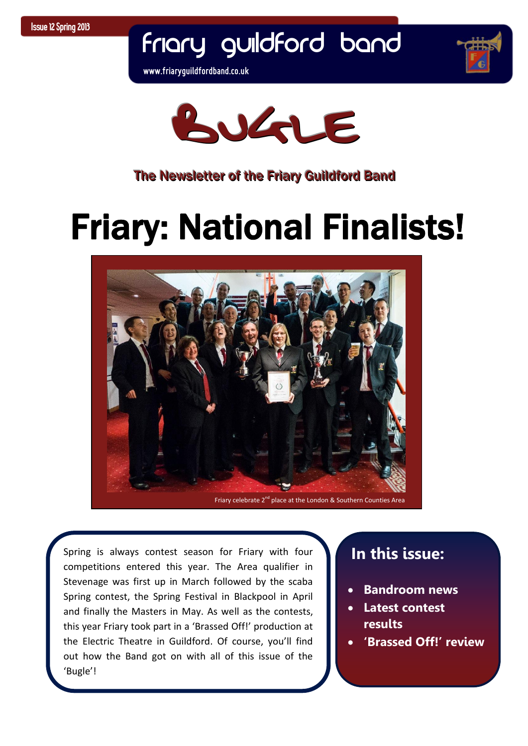Friary Guildford Band

**www.friaryguildfordband.co.uk**





#### The Newsletter of the Friary Guildford Band

# Friary: National Finalists!



competitions entered this year. The Area qualifier in  this year Friary took part in a 'Brassed Off!' production at and *Electric* Theatre in Gallarord. Or course, you'll like Spring is always contest season for Friary with four Stevenage was first up in March followed by the scaba Spring contest, the Spring Festival in Blackpool in April and finally the Masters in May. As well as the contests, the Electric Theatre in Guildford. Of course, you'll find 'Bugle'!

## **In this issue:**

- **Bandroom news**
- **Latest contest results**
- **'Brassed Off!' review**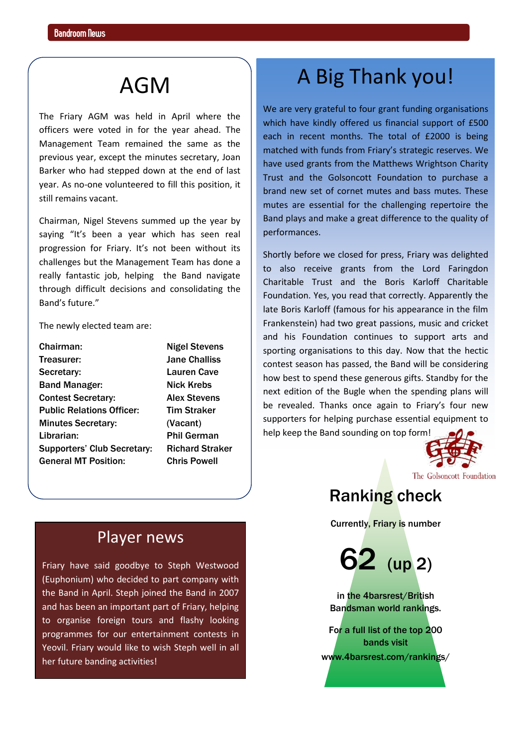The Friary AGM was held in April where the officers were voted in for the year ahead. The Management Team remained the same as the previous year, except the minutes secretary, Joan Barker who had stepped down at the end of last year. As no-one volunteered to fill this position, it still remains vacant.

Chairman, Nigel Stevens summed up the year by saying "It's been a year which has seen real progression for Friary. It's not been without its challenges but the Management Team has done a really fantastic job, helping the Band navigate through difficult decisions and consolidating the Band's future."

The newly elected team are:

| Chairman:                          |
|------------------------------------|
| Treasurer:                         |
| Secretary:                         |
| <b>Band Manager:</b>               |
| <b>Contest Secretary:</b>          |
| <b>Public Relations Officer:</b>   |
| <b>Minutes Secretary:</b>          |
| Librarian:                         |
| <b>Supporters' Club Secretary:</b> |
| <b>General MT Position:</b>        |
|                                    |

**Nigel Stevens Jane Challiss** Lauren Cave **Nick Krebs Alex Stevens Tim Straker** (Vacant) Phil German **Richard Straker Chris Powell** 

# AGM A Big Thank you!

We are very grateful to four grant funding organisations which have kindly offered us financial support of £500 each in recent months. The total of £2000 is being matched with funds from Friary's strategic reserves. We have used grants from the Matthews Wrightson Charity Trust and the Golsoncott Foundation to purchase a brand new set of cornet mutes and bass mutes. These mutes are essential for the challenging repertoire the Band plays and make a great difference to the quality of performances.

Shortly before we closed for press, Friary was delighted to also receive grants from the Lord Faringdon Charitable Trust and the Boris Karloff Charitable Foundation. Yes, you read that correctly. Apparently the late Boris Karloff (famous for his appearance in the film Frankenstein) had two great passions, music and cricket and his Foundation continues to support arts and sporting organisations to this day. Now that the hectic contest season has passed, the Band will be considering how best to spend these generous gifts. Standby for the next edition of the Bugle when the spending plans will be revealed. Thanks once again to Friary's four new supporters for helping purchase essential equipment to help keep the Band sounding on top form!

The Golsoncott Foundation

## Ranking check

Currently, Friary is number

62 (up 2)

in the 4barsrest/British Bandsman world rankings.

For a full list of the top 200 bands visit [www.4barsrest.com/rankings/](http://www.4barsrest.com/rankings/)

#### Player news

Friary have said goodbye to Steph Westwood (Euphonium) who decided to part company with the Band in April. Steph joined the Band in 2007 and has been an important part of Friary, helping to organise foreign tours and flashy looking programmes for our entertainment contests in Yeovil. Friary would like to wish Steph well in all her future banding activities!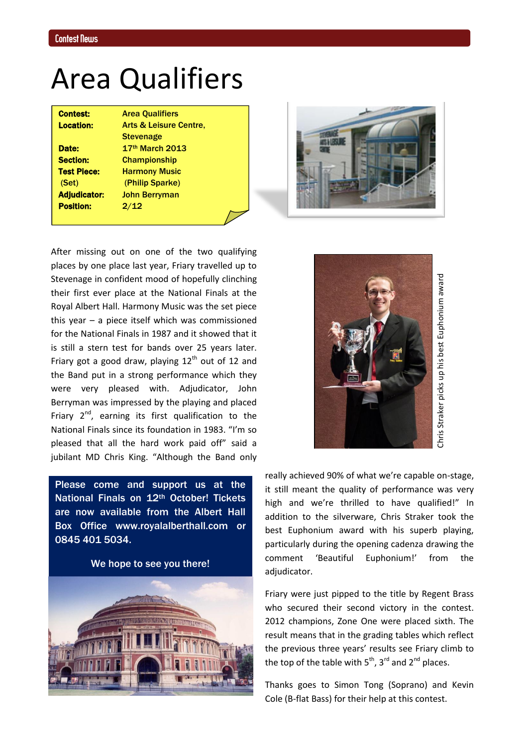# Area Qualifiers

Contest: Area Qualifiers

Position: 2/12

Location: Arts & Leisure Centre, **Stevenage** Date: 17th March 2013 Section: Championship **Test Piece:** Harmony Music (Set) (Philip Sparke) Adjudicator: John Berryman



After missing out on one of the two qualifying places by one place last year, Friary travelled up to Stevenage in confident mood of hopefully clinching their first ever place at the National Finals at the Royal Albert Hall. Harmony Music was the set piece this year – a piece itself which was commissioned for the National Finals in 1987 and it showed that it is still a stern test for bands over 25 years later. Friary got a good draw, playing  $12<sup>th</sup>$  out of 12 and the Band put in a strong performance which they were very pleased with. Adjudicator, John Berryman was impressed by the playing and placed Friary  $2^{nd}$ , earning its first qualification to the National Finals since its foundation in 1983. "I'm so pleased that all the hard work paid off" said a jubilant MD Chris King. "Although the Band only

Please come and support us at the National Finals on 12th October! Tickets are now available from the Albert Hall Box Office [www.royalalberthall.com](http://www.royalalberthall.com/) or 0845 401 5034.

We hope to see you there!





really achieved 90% of what we're capable on-stage, it still meant the quality of performance was very high and we're thrilled to have qualified!" In addition to the silverware, Chris Straker took the best Euphonium award with his superb playing, particularly during the opening cadenza drawing the comment 'Beautiful Euphonium!' from the adjudicator.

Friary were just pipped to the title by Regent Brass who secured their second victory in the contest. 2012 champions, Zone One were placed sixth. The result means that in the grading tables which reflect the previous three years' results see Friary climb to the top of the table with  $5<sup>th</sup>$ ,  $3<sup>rd</sup>$  and  $2<sup>nd</sup>$  places.

Thanks goes to Simon Tong (Soprano) and Kevin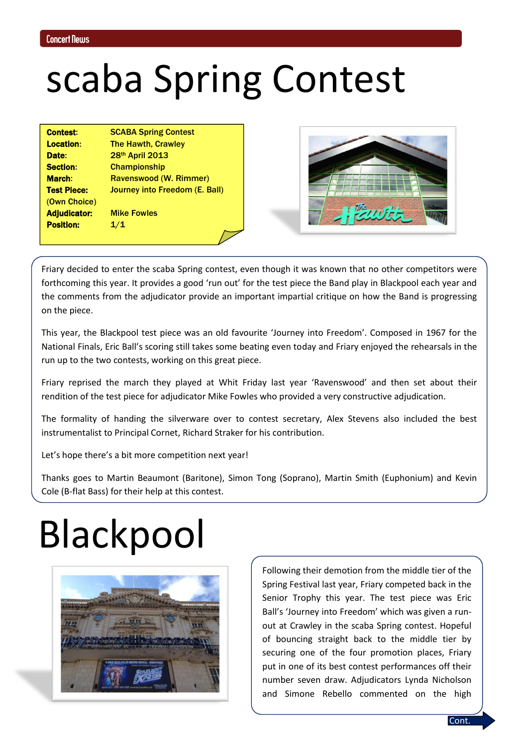# scaba Spring Contest

| <b>Contest:</b>     | <b>SCABA Spring Contest</b>    |
|---------------------|--------------------------------|
| <b>Location:</b>    | <b>The Hawth, Crawley</b>      |
| Date:               | 28th April 2013                |
| <b>Section:</b>     | <b>Championship</b>            |
| <b>March:</b>       | Ravenswood (W. Rimmer)         |
| <b>Test Piece:</b>  | Journey into Freedom (E. Ball) |
| (Own Choice)        |                                |
| <b>Adjudicator:</b> | <b>Mike Fowles</b>             |
| <b>Position:</b>    | 1/1                            |



Friary decided to enter the scaba Spring contest, even though it was known that no other competitors were forthcoming this year. It provides a good 'run out' for the test piece the Band play in Blackpool each year and the comments from the adjudicator provide an important impartial critique on how the Band is progressing on the piece.

This year, the Blackpool test piece was an old favourite 'Journey into Freedom'. Composed in 1967 for the National Finals, Eric Ball's scoring still takes some beating even today and Friary enjoyed the rehearsals in the run up to the two contests, working on this great piece.

Friary reprised the march they played at Whit Friday last year 'Ravenswood' and then set about their rendition of the test piece for adjudicator Mike Fowles who provided a very constructive adjudication.

The formality of handing the silverware over to contest secretary, Alex Stevens also included the best instrumentalist to Principal Cornet, Richard Straker for his contribution.

Let's hope there's a bit more competition next year!

Thanks goes to Martin Beaumont (Baritone), Simon Tong (Soprano), Martin Smith (Euphonium) and Kevin Cole (B-flat Bass) for their help at this contest.

# Blackpool



Following their demotion from the middle tier of the Spring Festival last year, Friary competed back in the Senior Trophy this year. The test piece was Eric Ball's 'Journey into Freedom' which was given a runout at Crawley in the scaba Spring contest. Hopeful of bouncing straight back to the middle tier by securing one of the four promotion places, Friary put in one of its best contest performances off their number seven draw. Adjudicators Lynda Nicholson and Simone Rebello commented on the high

**Cont**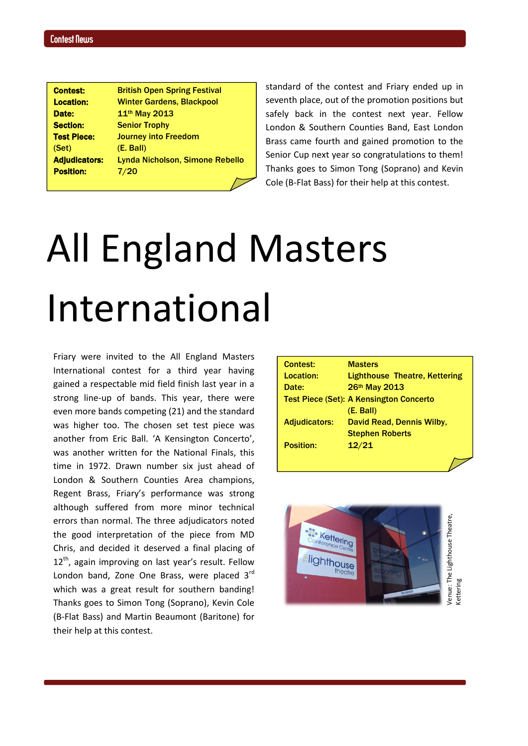| <b>Contest:</b>      | <b>British Open Spring Festival</b>    |
|----------------------|----------------------------------------|
| <b>Location:</b>     | <b>Winter Gardens, Blackpool</b>       |
| Date:                | 11 <sup>th</sup> May 2013              |
| <b>Section:</b>      | <b>Senior Trophy</b>                   |
| <b>Test Piece:</b>   | <b>Journey into Freedom</b>            |
| (Set)                | (E. Ball)                              |
| <b>Adjudicators:</b> | <b>Lynda Nicholson, Simone Rebello</b> |
| <b>Position:</b>     | 7/20                                   |
|                      |                                        |

standard of the contest and Friary ended up in seventh place, out of the promotion positions but safely back in the contest next year. Fellow London & Southern Counties Band, East London Brass came fourth and gained promotion to the Senior Cup next year so congratulations to them! Thanks goes to Simon Tong (Soprano) and Kevin Cole (B-Flat Bass) for their help at this contest.

# All England Masters International

Friary were invited to the All England Masters International contest for a third year having gained a respectable mid field finish last year in a strong line-up of bands. This year, there were even more bands competing (21) and the standard was higher too. The chosen set test piece was another from Eric Ball. 'A Kensington Concerto', was another written for the National Finals, this time in 1972. Drawn number six just ahead of London & Southern Counties Area champions, Regent Brass, Friary's performance was strong although suffered from more minor technical errors than normal. The three adjudicators noted the good interpretation of the piece from MD Chris, and decided it deserved a final placing of  $12<sup>th</sup>$ , again improving on last year's result. Fellow London band, Zone One Brass, were placed 3rd which was a great result for southern banding! Thanks goes to Simon Tong (Soprano), Kevin Cole (B-Flat Bass) and Martin Beaumont (Baritone) for their help at this contest.

| Contest:             | <b>Masters</b>                                 |
|----------------------|------------------------------------------------|
| <b>Location:</b>     | <b>Lighthouse Theatre, Kettering</b>           |
| Date:                | 26th May 2013                                  |
|                      | <b>Test Piece (Set): A Kensington Concerto</b> |
|                      | (E. Ball)                                      |
| <b>Adjudicators:</b> | David Read, Dennis Wilby,                      |
|                      | <b>Stephen Roberts</b>                         |
| <b>Position:</b>     | 12/21                                          |
|                      |                                                |